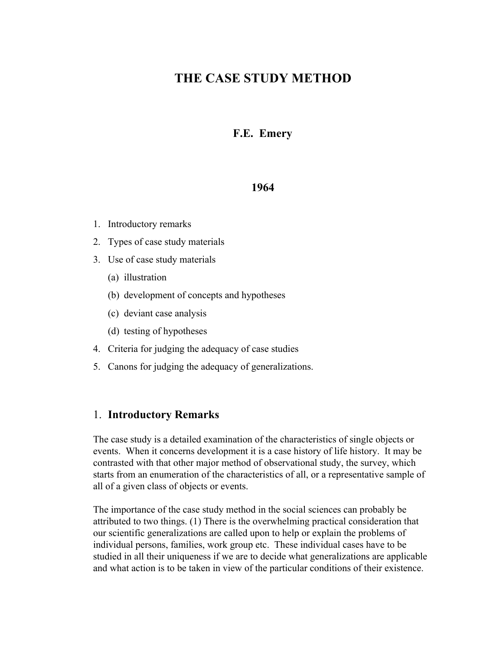# **THE CASE STUDY METHOD**

### **F.E. Emery**

#### **1964**

- 1. Introductory remarks
- 2. Types of case study materials
- 3. Use of case study materials
	- (a) illustration
	- (b) development of concepts and hypotheses
	- (c) deviant case analysis
	- (d) testing of hypotheses
- 4. Criteria for judging the adequacy of case studies
- 5. Canons for judging the adequacy of generalizations.

#### 1. **Introductory Remarks**

The case study is a detailed examination of the characteristics of single objects or events. When it concerns development it is a case history of life history. It may be contrasted with that other major method of observational study, the survey, which starts from an enumeration of the characteristics of all, or a representative sample of all of a given class of objects or events.

The importance of the case study method in the social sciences can probably be attributed to two things. (1) There is the overwhelming practical consideration that our scientific generalizations are called upon to help or explain the problems of individual persons, families, work group etc. These individual cases have to be studied in all their uniqueness if we are to decide what generalizations are applicable and what action is to be taken in view of the particular conditions of their existence.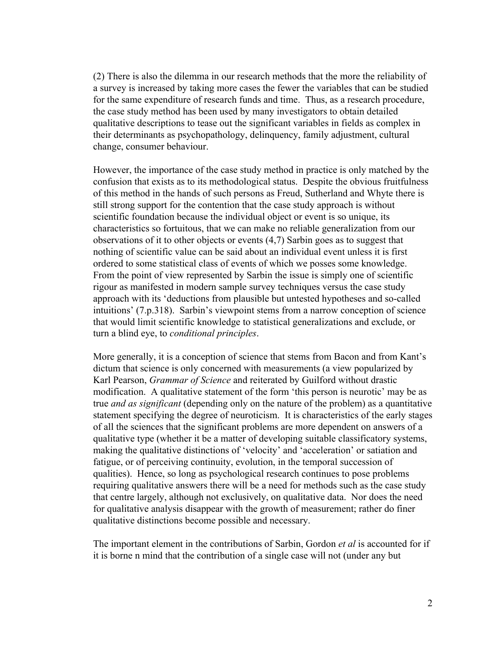(2) There is also the dilemma in our research methods that the more the reliability of a survey is increased by taking more cases the fewer the variables that can be studied for the same expenditure of research funds and time. Thus, as a research procedure, the case study method has been used by many investigators to obtain detailed qualitative descriptions to tease out the significant variables in fields as complex in their determinants as psychopathology, delinquency, family adjustment, cultural change, consumer behaviour.

However, the importance of the case study method in practice is only matched by the confusion that exists as to its methodological status. Despite the obvious fruitfulness of this method in the hands of such persons as Freud, Sutherland and Whyte there is still strong support for the contention that the case study approach is without scientific foundation because the individual object or event is so unique, its characteristics so fortuitous, that we can make no reliable generalization from our observations of it to other objects or events (4,7) Sarbin goes as to suggest that nothing of scientific value can be said about an individual event unless it is first ordered to some statistical class of events of which we posses some knowledge. From the point of view represented by Sarbin the issue is simply one of scientific rigour as manifested in modern sample survey techniques versus the case study approach with its 'deductions from plausible but untested hypotheses and so-called intuitions' (7.p.318). Sarbin's viewpoint stems from a narrow conception of science that would limit scientific knowledge to statistical generalizations and exclude, or turn a blind eye, to *conditional principles*.

More generally, it is a conception of science that stems from Bacon and from Kant's dictum that science is only concerned with measurements (a view popularized by Karl Pearson, *Grammar of Science* and reiterated by Guilford without drastic modification. A qualitative statement of the form 'this person is neurotic' may be as true *and as significant* (depending only on the nature of the problem) as a quantitative statement specifying the degree of neuroticism. It is characteristics of the early stages of all the sciences that the significant problems are more dependent on answers of a qualitative type (whether it be a matter of developing suitable classificatory systems, making the qualitative distinctions of 'velocity' and 'acceleration' or satiation and fatigue, or of perceiving continuity, evolution, in the temporal succession of qualities). Hence, so long as psychological research continues to pose problems requiring qualitative answers there will be a need for methods such as the case study that centre largely, although not exclusively, on qualitative data. Nor does the need for qualitative analysis disappear with the growth of measurement; rather do finer qualitative distinctions become possible and necessary.

The important element in the contributions of Sarbin, Gordon *et al* is accounted for if it is borne n mind that the contribution of a single case will not (under any but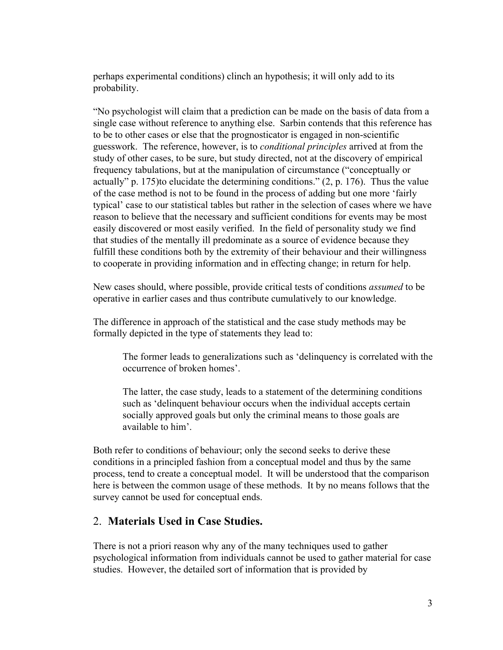perhaps experimental conditions) clinch an hypothesis; it will only add to its probability.

"No psychologist will claim that a prediction can be made on the basis of data from a single case without reference to anything else. Sarbin contends that this reference has to be to other cases or else that the prognosticator is engaged in non-scientific guesswork. The reference, however, is to *conditional principles* arrived at from the study of other cases, to be sure, but study directed, not at the discovery of empirical frequency tabulations, but at the manipulation of circumstance ("conceptually or actually" p. 175)to elucidate the determining conditions." (2, p. 176). Thus the value of the case method is not to be found in the process of adding but one more 'fairly typical' case to our statistical tables but rather in the selection of cases where we have reason to believe that the necessary and sufficient conditions for events may be most easily discovered or most easily verified. In the field of personality study we find that studies of the mentally ill predominate as a source of evidence because they fulfill these conditions both by the extremity of their behaviour and their willingness to cooperate in providing information and in effecting change; in return for help.

New cases should, where possible, provide critical tests of conditions *assumed* to be operative in earlier cases and thus contribute cumulatively to our knowledge.

The difference in approach of the statistical and the case study methods may be formally depicted in the type of statements they lead to:

The former leads to generalizations such as 'delinquency is correlated with the occurrence of broken homes'.

The latter, the case study, leads to a statement of the determining conditions such as 'delinquent behaviour occurs when the individual accepts certain socially approved goals but only the criminal means to those goals are available to him'.

Both refer to conditions of behaviour; only the second seeks to derive these conditions in a principled fashion from a conceptual model and thus by the same process, tend to create a conceptual model. It will be understood that the comparison here is between the common usage of these methods. It by no means follows that the survey cannot be used for conceptual ends.

### 2. **Materials Used in Case Studies.**

There is not a priori reason why any of the many techniques used to gather psychological information from individuals cannot be used to gather material for case studies. However, the detailed sort of information that is provided by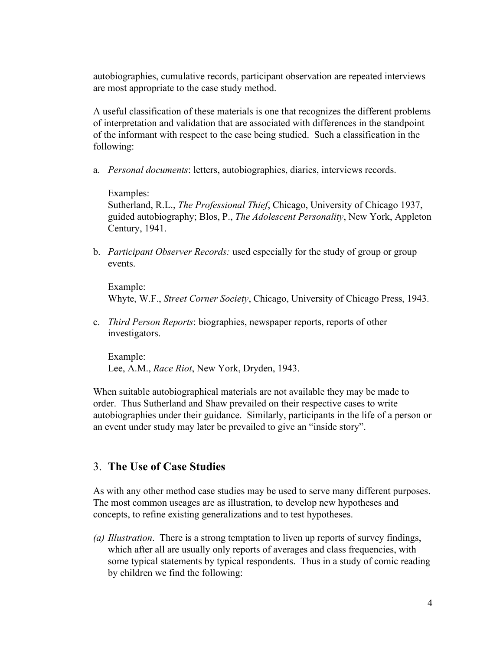autobiographies, cumulative records, participant observation are repeated interviews are most appropriate to the case study method.

A useful classification of these materials is one that recognizes the different problems of interpretation and validation that are associated with differences in the standpoint of the informant with respect to the case being studied. Such a classification in the following:

a. *Personal documents*: letters, autobiographies, diaries, interviews records.

Examples:

Sutherland, R.L., *The Professional Thief*, Chicago, University of Chicago 1937, guided autobiography; Blos, P., *The Adolescent Personality*, New York, Appleton Century, 1941.

b. *Participant Observer Records:* used especially for the study of group or group events.

Example: Whyte, W.F., *Street Corner Society*, Chicago, University of Chicago Press, 1943.

c. *Third Person Reports*: biographies, newspaper reports, reports of other investigators.

Example: Lee, A.M., *Race Riot*, New York, Dryden, 1943.

When suitable autobiographical materials are not available they may be made to order. Thus Sutherland and Shaw prevailed on their respective cases to write autobiographies under their guidance. Similarly, participants in the life of a person or an event under study may later be prevailed to give an "inside story".

### 3. **The Use of Case Studies**

As with any other method case studies may be used to serve many different purposes. The most common useages are as illustration, to develop new hypotheses and concepts, to refine existing generalizations and to test hypotheses.

*(a) Illustration*. There is a strong temptation to liven up reports of survey findings, which after all are usually only reports of averages and class frequencies, with some typical statements by typical respondents. Thus in a study of comic reading by children we find the following: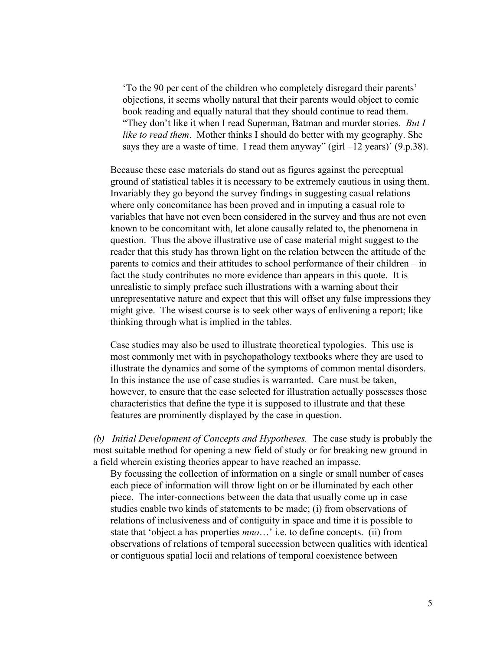'To the 90 per cent of the children who completely disregard their parents' objections, it seems wholly natural that their parents would object to comic book reading and equally natural that they should continue to read them. "They don't like it when I read Superman, Batman and murder stories. *But I like to read them*. Mother thinks I should do better with my geography. She says they are a waste of time. I read them anyway" (girl  $-12$  years)' (9.p.38).

Because these case materials do stand out as figures against the perceptual ground of statistical tables it is necessary to be extremely cautious in using them. Invariably they go beyond the survey findings in suggesting casual relations where only concomitance has been proved and in imputing a casual role to variables that have not even been considered in the survey and thus are not even known to be concomitant with, let alone causally related to, the phenomena in question. Thus the above illustrative use of case material might suggest to the reader that this study has thrown light on the relation between the attitude of the parents to comics and their attitudes to school performance of their children – in fact the study contributes no more evidence than appears in this quote. It is unrealistic to simply preface such illustrations with a warning about their unrepresentative nature and expect that this will offset any false impressions they might give. The wisest course is to seek other ways of enlivening a report; like thinking through what is implied in the tables.

Case studies may also be used to illustrate theoretical typologies. This use is most commonly met with in psychopathology textbooks where they are used to illustrate the dynamics and some of the symptoms of common mental disorders. In this instance the use of case studies is warranted. Care must be taken, however, to ensure that the case selected for illustration actually possesses those characteristics that define the type it is supposed to illustrate and that these features are prominently displayed by the case in question.

*(b) Initial Development of Concepts and Hypotheses.* The case study is probably the most suitable method for opening a new field of study or for breaking new ground in a field wherein existing theories appear to have reached an impasse.

By focussing the collection of information on a single or small number of cases each piece of information will throw light on or be illuminated by each other piece. The inter-connections between the data that usually come up in case studies enable two kinds of statements to be made; (i) from observations of relations of inclusiveness and of contiguity in space and time it is possible to state that 'object a has properties *mno*…' i.e. to define concepts. (ii) from observations of relations of temporal succession between qualities with identical or contiguous spatial locii and relations of temporal coexistence between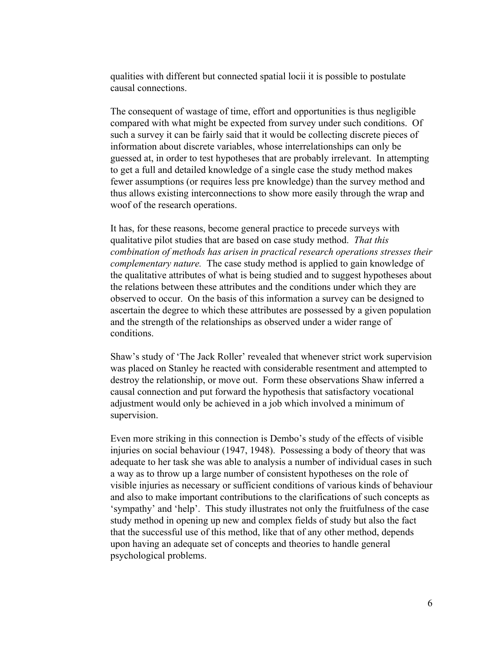qualities with different but connected spatial locii it is possible to postulate causal connections.

The consequent of wastage of time, effort and opportunities is thus negligible compared with what might be expected from survey under such conditions. Of such a survey it can be fairly said that it would be collecting discrete pieces of information about discrete variables, whose interrelationships can only be guessed at, in order to test hypotheses that are probably irrelevant. In attempting to get a full and detailed knowledge of a single case the study method makes fewer assumptions (or requires less pre knowledge) than the survey method and thus allows existing interconnections to show more easily through the wrap and woof of the research operations.

It has, for these reasons, become general practice to precede surveys with qualitative pilot studies that are based on case study method. *That this combination of methods has arisen in practical research operations stresses their complementary nature.* The case study method is applied to gain knowledge of the qualitative attributes of what is being studied and to suggest hypotheses about the relations between these attributes and the conditions under which they are observed to occur. On the basis of this information a survey can be designed to ascertain the degree to which these attributes are possessed by a given population and the strength of the relationships as observed under a wider range of conditions.

Shaw's study of 'The Jack Roller' revealed that whenever strict work supervision was placed on Stanley he reacted with considerable resentment and attempted to destroy the relationship, or move out. Form these observations Shaw inferred a causal connection and put forward the hypothesis that satisfactory vocational adjustment would only be achieved in a job which involved a minimum of supervision.

Even more striking in this connection is Dembo's study of the effects of visible injuries on social behaviour (1947, 1948). Possessing a body of theory that was adequate to her task she was able to analysis a number of individual cases in such a way as to throw up a large number of consistent hypotheses on the role of visible injuries as necessary or sufficient conditions of various kinds of behaviour and also to make important contributions to the clarifications of such concepts as 'sympathy' and 'help'. This study illustrates not only the fruitfulness of the case study method in opening up new and complex fields of study but also the fact that the successful use of this method, like that of any other method, depends upon having an adequate set of concepts and theories to handle general psychological problems.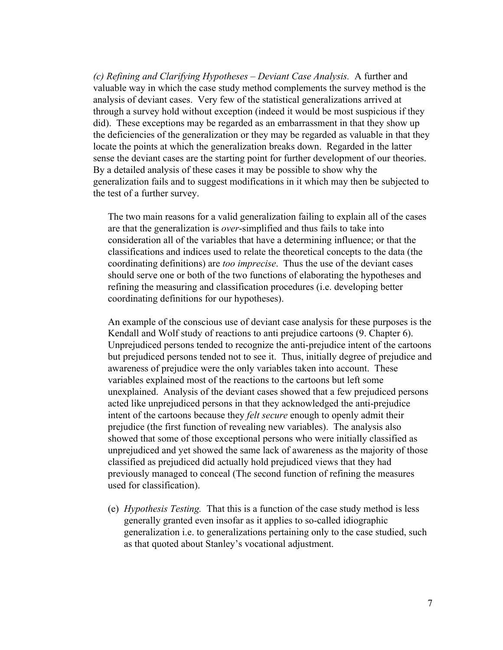*(c) Refining and Clarifying Hypotheses – Deviant Case Analysis.* A further and valuable way in which the case study method complements the survey method is the analysis of deviant cases. Very few of the statistical generalizations arrived at through a survey hold without exception (indeed it would be most suspicious if they did). These exceptions may be regarded as an embarrassment in that they show up the deficiencies of the generalization or they may be regarded as valuable in that they locate the points at which the generalization breaks down. Regarded in the latter sense the deviant cases are the starting point for further development of our theories. By a detailed analysis of these cases it may be possible to show why the generalization fails and to suggest modifications in it which may then be subjected to the test of a further survey.

The two main reasons for a valid generalization failing to explain all of the cases are that the generalization is *over*-simplified and thus fails to take into consideration all of the variables that have a determining influence; or that the classifications and indices used to relate the theoretical concepts to the data (the coordinating definitions) are *too imprecise*. Thus the use of the deviant cases should serve one or both of the two functions of elaborating the hypotheses and refining the measuring and classification procedures (i.e. developing better coordinating definitions for our hypotheses).

An example of the conscious use of deviant case analysis for these purposes is the Kendall and Wolf study of reactions to anti prejudice cartoons (9. Chapter 6). Unprejudiced persons tended to recognize the anti-prejudice intent of the cartoons but prejudiced persons tended not to see it. Thus, initially degree of prejudice and awareness of prejudice were the only variables taken into account. These variables explained most of the reactions to the cartoons but left some unexplained. Analysis of the deviant cases showed that a few prejudiced persons acted like unprejudiced persons in that they acknowledged the anti-prejudice intent of the cartoons because they *felt secure* enough to openly admit their prejudice (the first function of revealing new variables). The analysis also showed that some of those exceptional persons who were initially classified as unprejudiced and yet showed the same lack of awareness as the majority of those classified as prejudiced did actually hold prejudiced views that they had previously managed to conceal (The second function of refining the measures used for classification).

(e) *Hypothesis Testing.* That this is a function of the case study method is less generally granted even insofar as it applies to so-called idiographic generalization i.e. to generalizations pertaining only to the case studied, such as that quoted about Stanley's vocational adjustment.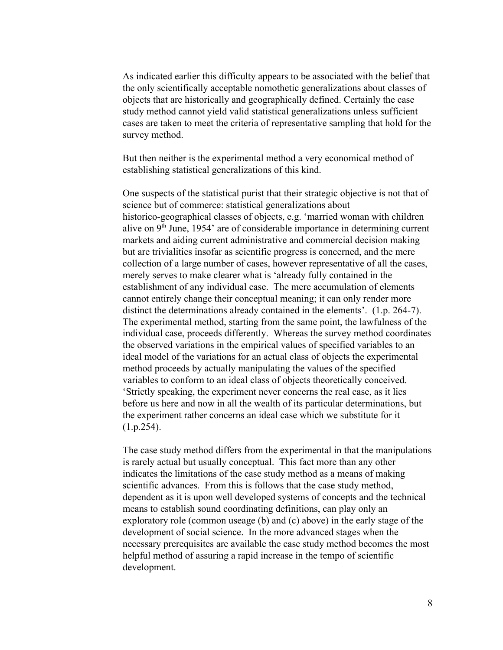As indicated earlier this difficulty appears to be associated with the belief that the only scientifically acceptable nomothetic generalizations about classes of objects that are historically and geographically defined. Certainly the case study method cannot yield valid statistical generalizations unless sufficient cases are taken to meet the criteria of representative sampling that hold for the survey method.

But then neither is the experimental method a very economical method of establishing statistical generalizations of this kind.

One suspects of the statistical purist that their strategic objective is not that of science but of commerce: statistical generalizations about historico-geographical classes of objects, e.g. 'married woman with children alive on 9<sup>th</sup> June, 1954' are of considerable importance in determining current markets and aiding current administrative and commercial decision making but are trivialities insofar as scientific progress is concerned, and the mere collection of a large number of cases, however representative of all the cases, merely serves to make clearer what is 'already fully contained in the establishment of any individual case. The mere accumulation of elements cannot entirely change their conceptual meaning; it can only render more distinct the determinations already contained in the elements'. (1.p. 264-7). The experimental method, starting from the same point, the lawfulness of the individual case, proceeds differently. Whereas the survey method coordinates the observed variations in the empirical values of specified variables to an ideal model of the variations for an actual class of objects the experimental method proceeds by actually manipulating the values of the specified variables to conform to an ideal class of objects theoretically conceived. 'Strictly speaking, the experiment never concerns the real case, as it lies before us here and now in all the wealth of its particular determinations, but the experiment rather concerns an ideal case which we substitute for it (1.p.254).

The case study method differs from the experimental in that the manipulations is rarely actual but usually conceptual. This fact more than any other indicates the limitations of the case study method as a means of making scientific advances. From this is follows that the case study method, dependent as it is upon well developed systems of concepts and the technical means to establish sound coordinating definitions, can play only an exploratory role (common useage (b) and (c) above) in the early stage of the development of social science. In the more advanced stages when the necessary prerequisites are available the case study method becomes the most helpful method of assuring a rapid increase in the tempo of scientific development.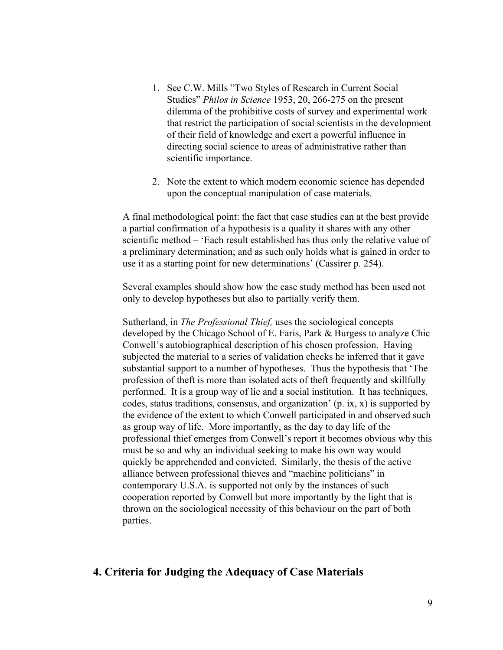- 1. See C.W. Mills "Two Styles of Research in Current Social Studies" *Philos in Science* 1953, 20, 266-275 on the present dilemma of the prohibitive costs of survey and experimental work that restrict the participation of social scientists in the development of their field of knowledge and exert a powerful influence in directing social science to areas of administrative rather than scientific importance.
- 2. Note the extent to which modern economic science has depended upon the conceptual manipulation of case materials.

A final methodological point: the fact that case studies can at the best provide a partial confirmation of a hypothesis is a quality it shares with any other scientific method – 'Each result established has thus only the relative value of a preliminary determination; and as such only holds what is gained in order to use it as a starting point for new determinations' (Cassirer p. 254).

Several examples should show how the case study method has been used not only to develop hypotheses but also to partially verify them.

Sutherland, in *The Professional Thief,* uses the sociological concepts developed by the Chicago School of E. Faris, Park & Burgess to analyze Chic Conwell's autobiographical description of his chosen profession. Having subjected the material to a series of validation checks he inferred that it gave substantial support to a number of hypotheses. Thus the hypothesis that 'The profession of theft is more than isolated acts of theft frequently and skillfully performed. It is a group way of lie and a social institution. It has techniques, codes, status traditions, consensus, and organization'  $(p, ix, x)$  is supported by the evidence of the extent to which Conwell participated in and observed such as group way of life. More importantly, as the day to day life of the professional thief emerges from Conwell's report it becomes obvious why this must be so and why an individual seeking to make his own way would quickly be apprehended and convicted. Similarly, the thesis of the active alliance between professional thieves and "machine politicians" in contemporary U.S.A. is supported not only by the instances of such cooperation reported by Conwell but more importantly by the light that is thrown on the sociological necessity of this behaviour on the part of both parties.

### **4. Criteria for Judging the Adequacy of Case Materials**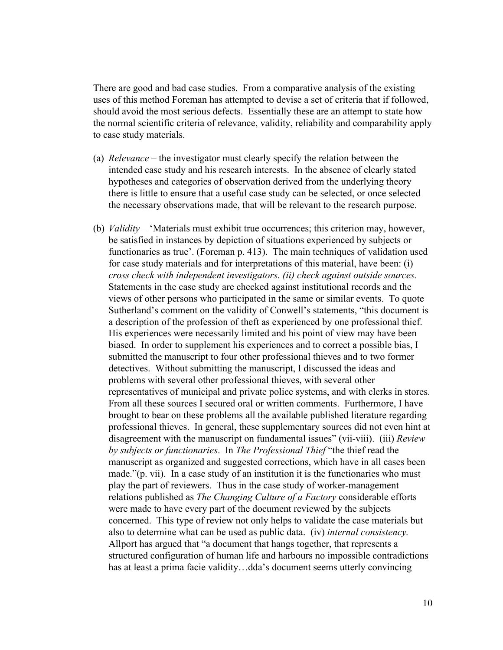There are good and bad case studies. From a comparative analysis of the existing uses of this method Foreman has attempted to devise a set of criteria that if followed, should avoid the most serious defects. Essentially these are an attempt to state how the normal scientific criteria of relevance, validity, reliability and comparability apply to case study materials.

- (a) *Relevance* the investigator must clearly specify the relation between the intended case study and his research interests. In the absence of clearly stated hypotheses and categories of observation derived from the underlying theory there is little to ensure that a useful case study can be selected, or once selected the necessary observations made, that will be relevant to the research purpose.
- (b) *Validity* 'Materials must exhibit true occurrences; this criterion may, however, be satisfied in instances by depiction of situations experienced by subjects or functionaries as true'. (Foreman p. 413). The main techniques of validation used for case study materials and for interpretations of this material, have been: (i) *cross check with independent investigators. (ii) check against outside sources.* Statements in the case study are checked against institutional records and the views of other persons who participated in the same or similar events. To quote Sutherland's comment on the validity of Conwell's statements, "this document is a description of the profession of theft as experienced by one professional thief. His experiences were necessarily limited and his point of view may have been biased. In order to supplement his experiences and to correct a possible bias, I submitted the manuscript to four other professional thieves and to two former detectives. Without submitting the manuscript, I discussed the ideas and problems with several other professional thieves, with several other representatives of municipal and private police systems, and with clerks in stores. From all these sources I secured oral or written comments. Furthermore, I have brought to bear on these problems all the available published literature regarding professional thieves. In general, these supplementary sources did not even hint at disagreement with the manuscript on fundamental issues" (vii-viii). (iii) *Review by subjects or functionaries*. In *The Professional Thief* "the thief read the manuscript as organized and suggested corrections, which have in all cases been made."(p. vii). In a case study of an institution it is the functionaries who must play the part of reviewers. Thus in the case study of worker-management relations published as *The Changing Culture of a Factory* considerable efforts were made to have every part of the document reviewed by the subjects concerned. This type of review not only helps to validate the case materials but also to determine what can be used as public data. (iv) *internal consistency.* Allport has argued that "a document that hangs together, that represents a structured configuration of human life and harbours no impossible contradictions has at least a prima facie validity…dda's document seems utterly convincing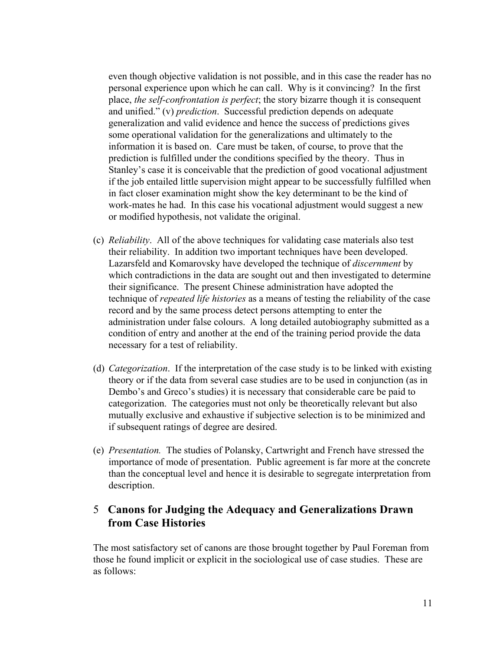even though objective validation is not possible, and in this case the reader has no personal experience upon which he can call. Why is it convincing? In the first place, *the self-confrontation is perfect*; the story bizarre though it is consequent and unified." (v) *prediction*. Successful prediction depends on adequate generalization and valid evidence and hence the success of predictions gives some operational validation for the generalizations and ultimately to the information it is based on. Care must be taken, of course, to prove that the prediction is fulfilled under the conditions specified by the theory. Thus in Stanley's case it is conceivable that the prediction of good vocational adjustment if the job entailed little supervision might appear to be successfully fulfilled when in fact closer examination might show the key determinant to be the kind of work-mates he had. In this case his vocational adjustment would suggest a new or modified hypothesis, not validate the original.

- (c) *Reliability*. All of the above techniques for validating case materials also test their reliability. In addition two important techniques have been developed. Lazarsfeld and Komarovsky have developed the technique of *discernment* by which contradictions in the data are sought out and then investigated to determine their significance. The present Chinese administration have adopted the technique of *repeated life histories* as a means of testing the reliability of the case record and by the same process detect persons attempting to enter the administration under false colours. A long detailed autobiography submitted as a condition of entry and another at the end of the training period provide the data necessary for a test of reliability.
- (d) *Categorization*. If the interpretation of the case study is to be linked with existing theory or if the data from several case studies are to be used in conjunction (as in Dembo's and Greco's studies) it is necessary that considerable care be paid to categorization. The categories must not only be theoretically relevant but also mutually exclusive and exhaustive if subjective selection is to be minimized and if subsequent ratings of degree are desired.
- (e) *Presentation.* The studies of Polansky, Cartwright and French have stressed the importance of mode of presentation. Public agreement is far more at the concrete than the conceptual level and hence it is desirable to segregate interpretation from description.

## 5 **Canons for Judging the Adequacy and Generalizations Drawn from Case Histories**

The most satisfactory set of canons are those brought together by Paul Foreman from those he found implicit or explicit in the sociological use of case studies. These are as follows: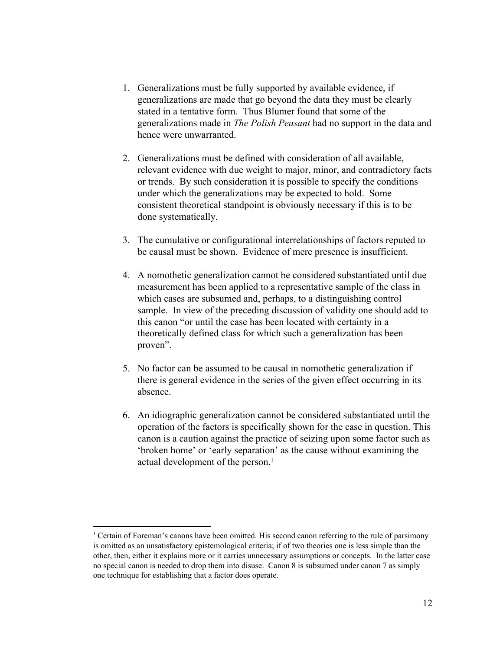- 1. Generalizations must be fully supported by available evidence, if generalizations are made that go beyond the data they must be clearly stated in a tentative form. Thus Blumer found that some of the generalizations made in *The Polish Peasant* had no support in the data and hence were unwarranted.
- 2. Generalizations must be defined with consideration of all available, relevant evidence with due weight to major, minor, and contradictory facts or trends. By such consideration it is possible to specify the conditions under which the generalizations may be expected to hold. Some consistent theoretical standpoint is obviously necessary if this is to be done systematically.
- 3. The cumulative or configurational interrelationships of factors reputed to be causal must be shown. Evidence of mere presence is insufficient.
- 4. A nomothetic generalization cannot be considered substantiated until due measurement has been applied to a representative sample of the class in which cases are subsumed and, perhaps, to a distinguishing control sample. In view of the preceding discussion of validity one should add to this canon "or until the case has been located with certainty in a theoretically defined class for which such a generalization has been proven".
- 5. No factor can be assumed to be causal in nomothetic generalization if there is general evidence in the series of the given effect occurring in its absence.
- 6. An idiographic generalization cannot be considered substantiated until the operation of the factors is specifically shown for the case in question. This canon is a caution against the practice of seizing upon some factor such as 'broken home' or 'early separation' as the cause without examining the actual development of the person.<sup>1</sup>

<sup>1</sup> Certain of Foreman's canons have been omitted. His second canon referring to the rule of parsimony is omitted as an unsatisfactory epistemological criteria; if of two theories one is less simple than the other, then, either it explains more or it carries unnecessary assumptions or concepts. In the latter case no special canon is needed to drop them into disuse. Canon 8 is subsumed under canon 7 as simply one technique for establishing that a factor does operate.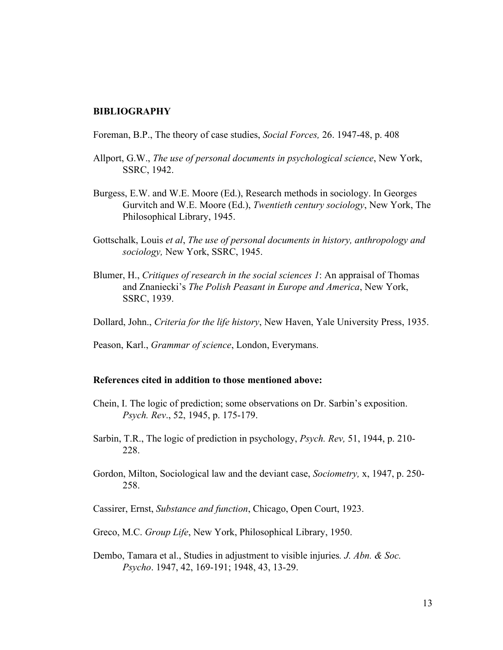#### **BIBLIOGRAPHY**

Foreman, B.P., The theory of case studies, *Social Forces,* 26. 1947-48, p. 408

- Allport, G.W., *The use of personal documents in psychological science*, New York, SSRC, 1942.
- Burgess, E.W. and W.E. Moore (Ed.), Research methods in sociology. In Georges Gurvitch and W.E. Moore (Ed.), *Twentieth century sociology*, New York, The Philosophical Library, 1945.
- Gottschalk, Louis *et al*, *The use of personal documents in history, anthropology and sociology,* New York, SSRC, 1945.
- Blumer, H., *Critiques of research in the social sciences 1*: An appraisal of Thomas and Znaniecki's *The Polish Peasant in Europe and America*, New York, SSRC, 1939.
- Dollard, John., *Criteria for the life history*, New Haven, Yale University Press, 1935.
- Peason, Karl., *Grammar of science*, London, Everymans.

#### **References cited in addition to those mentioned above:**

- Chein, I. The logic of prediction; some observations on Dr. Sarbin's exposition. *Psych. Rev*., 52, 1945, p. 175-179.
- Sarbin, T.R., The logic of prediction in psychology, *Psych. Rev,* 51, 1944, p. 210- 228.
- Gordon, Milton, Sociological law and the deviant case, *Sociometry,* x, 1947, p. 250- 258.
- Cassirer, Ernst, *Substance and function*, Chicago, Open Court, 1923.
- Greco, M.C. *Group Life*, New York, Philosophical Library, 1950.
- Dembo, Tamara et al., Studies in adjustment to visible injuries*. J. Abn. & Soc. Psycho*. 1947, 42, 169-191; 1948, 43, 13-29.